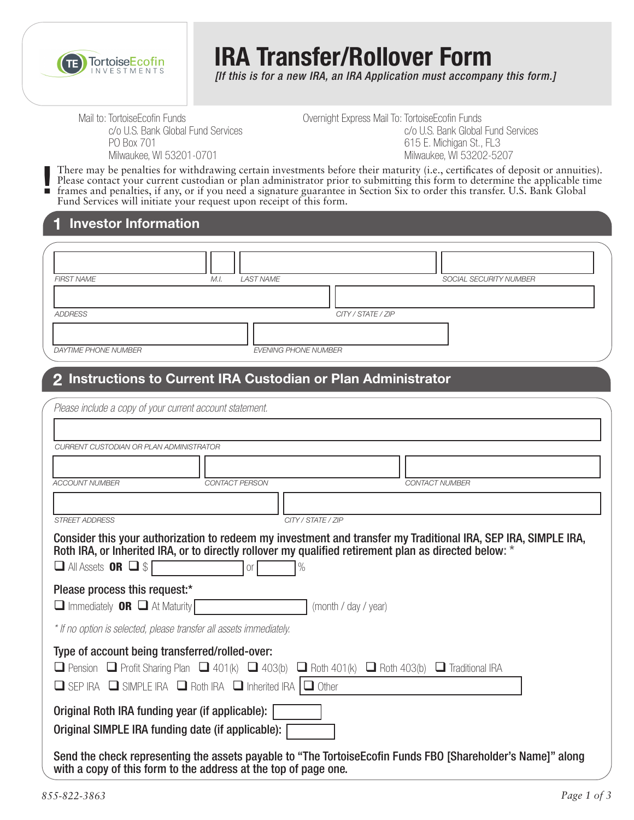

# **IRA Transfer/Rollover Form**

*[If this is for a new IRA, an IRA Application must accompany this form.]*

Mail to: TortoiseEcofin Funds c/o U.S. Bank Global Fund Services PO Box 701 Milwaukee, WI 53201-0701

Overnight Express Mail To: TortoiseEcofin Funds c/o U.S. Bank Global Fund Services 615 E. Michigan St., FL3 Milwaukee, WI 53202-5207

There may be penalties for withdrawing certain investments before their maturity (i.e., certificates of deposit or annuities). Please contact your current custodian or plan administrator prior to submitting this form to determine the applicable time frames and penalties, if any, or if you need a signature guarantee in Section Six to order this transfer. U.S. Bank Global Fund Services will initiate your request upon receipt of this form. **!**

#### **1 Investor Information**

| <b>FIRST NAME</b>    | LAST NAME<br>M.I.           | SOCIAL SECURITY NUMBER |
|----------------------|-----------------------------|------------------------|
|                      |                             |                        |
| ADDRESS              |                             | CITY / STATE / ZIP     |
|                      |                             |                        |
| DAYTIME PHONE NUMBER | <b>EVENING PHONE NUMBER</b> |                        |

## **2 Instructions to Current IRA Custodian or Plan Administrator**

| Please include a copy of your current account statement.                                                                                                                                                                                                                              |                       |  |  |  |  |  |  |  |
|---------------------------------------------------------------------------------------------------------------------------------------------------------------------------------------------------------------------------------------------------------------------------------------|-----------------------|--|--|--|--|--|--|--|
|                                                                                                                                                                                                                                                                                       |                       |  |  |  |  |  |  |  |
| CURRENT CUSTODIAN OR PLAN ADMINISTRATOR                                                                                                                                                                                                                                               |                       |  |  |  |  |  |  |  |
|                                                                                                                                                                                                                                                                                       |                       |  |  |  |  |  |  |  |
| <b>ACCOUNT NUMBER</b><br><b>CONTACT PERSON</b>                                                                                                                                                                                                                                        | <b>CONTACT NUMBER</b> |  |  |  |  |  |  |  |
|                                                                                                                                                                                                                                                                                       |                       |  |  |  |  |  |  |  |
| <b>STREET ADDRESS</b>                                                                                                                                                                                                                                                                 | CITY / STATE / ZIP    |  |  |  |  |  |  |  |
| Consider this your authorization to redeem my investment and transfer my Traditional IRA, SEP IRA, SIMPLE IRA,<br>Roth IRA, or Inherited IRA, or to directly rollover my qualified retirement plan as directed below: *<br>$\Box$ All Assets <b>OR</b> $\Box$ \$<br>O <sub>r</sub>    |                       |  |  |  |  |  |  |  |
| Please process this request:*<br>$\Box$ Immediately <b>OR</b> $\Box$ At Maturity<br>(month / day / year)                                                                                                                                                                              |                       |  |  |  |  |  |  |  |
| * If no option is selected, please transfer all assets immediately.                                                                                                                                                                                                                   |                       |  |  |  |  |  |  |  |
| Type of account being transferred/rolled-over:<br><b>O</b> Pension <b>O</b> Profit Sharing Plan <b>O</b> 401(k) <b>O</b> 403(b)<br>$\Box$ Roth 401(k) $\Box$ Roth 403(b) $\Box$ Traditional IRA<br>$\Box$ SEP IRA $\Box$ SIMPLE IRA $\Box$ Roth IRA $\Box$ Inherited IRA $\Box$ Other |                       |  |  |  |  |  |  |  |
| Original Roth IRA funding year (if applicable):<br>Original SIMPLE IRA funding date (if applicable):                                                                                                                                                                                  |                       |  |  |  |  |  |  |  |
| Send the check representing the assets payable to "The Tortoise Ecofin Funds FBO [Shareholder's Name]" along<br>with a copy of this form to the address at the top of page one.                                                                                                       |                       |  |  |  |  |  |  |  |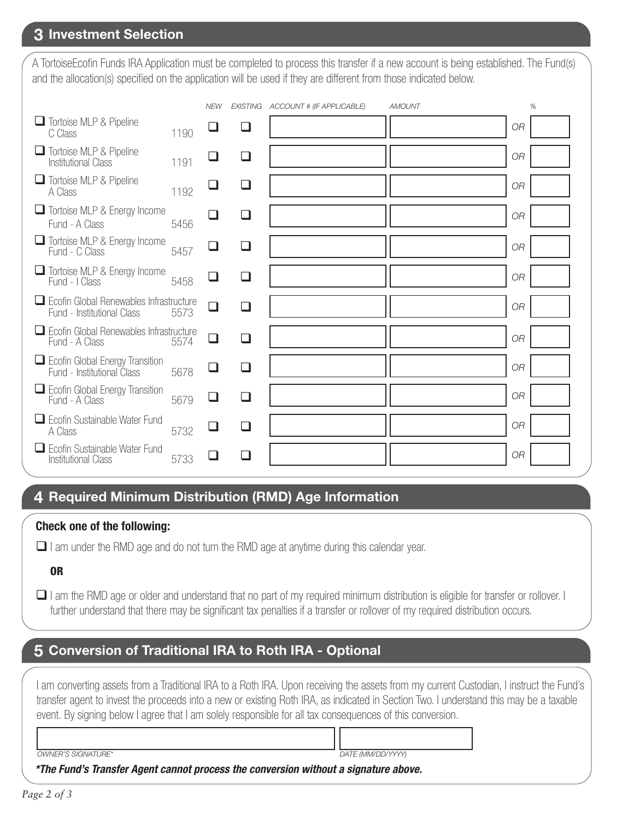# **3 Investment Selection**

A TortoiseEcofin Funds IRA Application must be completed to process this transfer if a new account is being established. The Fund(s) and the allocation(s) specified on the application will be used if they are different from those indicated below.

|                                                                       |      | <b>NEW</b> |          | EXISTING ACCOUNT # (IF APPLICABLE) | <b>AMOUNT</b> |           | % |
|-----------------------------------------------------------------------|------|------------|----------|------------------------------------|---------------|-----------|---|
| Tortoise MLP & Pipeline<br>C Class                                    | 1190 |            | U        |                                    |               | <b>OR</b> |   |
| Tortoise MLP & Pipeline<br><b>Institutional Class</b>                 | 1191 |            | ⊔        |                                    |               | <b>OR</b> |   |
| Tortoise MLP & Pipeline<br>A Class                                    | 1192 |            | ⊔        |                                    |               | <b>OR</b> |   |
| Tortoise MLP & Energy Income<br>Fund - A Class                        | 5456 |            |          |                                    |               | <b>OR</b> |   |
| Tortoise MLP & Energy Income<br>Fund - C Class                        | 5457 |            | ப        |                                    |               | <b>OR</b> |   |
| Tortoise MLP & Energy Income<br>Fund - I Class                        | 5458 | ⊔          | $\sqcup$ |                                    |               | <b>OR</b> |   |
| Ecofin Global Renewables Infrastructure<br>Fund - Institutional Class | 5573 | $\Box$     | ⊔        |                                    |               | <b>OR</b> |   |
| Ecofin Global Renewables Infrastructure<br>Fund - A Class             | 5574 | ❏          |          |                                    |               | <b>OR</b> |   |
| Ecofin Global Energy Transition<br>Fund - Institutional Class         | 5678 | $\Box$     | $\sqcup$ |                                    |               | <b>OR</b> |   |
| Ecofin Global Energy Transition<br>Fund - A Class                     | 5679 |            | $\Box$   |                                    |               | <b>OR</b> |   |
| $\Box$ Ecofin Sustainable Water Fund<br>A Class                       | 5732 | $\Box$     | ❏        |                                    |               | <b>OR</b> |   |
| Ecofin Sustainable Water Fund<br><b>Institutional Class</b>           | 5733 |            |          |                                    |               | <b>OR</b> |   |
|                                                                       |      |            |          |                                    |               |           |   |

## **4 Required Minimum Distribution (RMD) Age Information**

#### **Check one of the following:**

 $\Box$  I am under the RMD age and do not turn the RMD age at anytime during this calendar year.

#### OR

 I am the RMD age or older and understand that no part of my required minimum distribution is eligible for transfer or rollover. I further understand that there may be significant tax penalties if a transfer or rollover of my required distribution occurs.

# **5 Conversion of Traditional IRA to Roth IRA - Optional**

I am converting assets from a Traditional IRA to a Roth IRA. Upon receiving the assets from my current Custodian, I instruct the Fund's transfer agent to invest the proceeds into a new or existing Roth IRA, as indicated in Section Two. I understand this may be a taxable event. By signing below I agree that I am solely responsible for all tax consequences of this conversion.

*OWNER'S SIGNATURE\* DATE (MM/DD/YYYY)*

*\*The Fund's Transfer Agent cannot process the conversion without a signature above.*